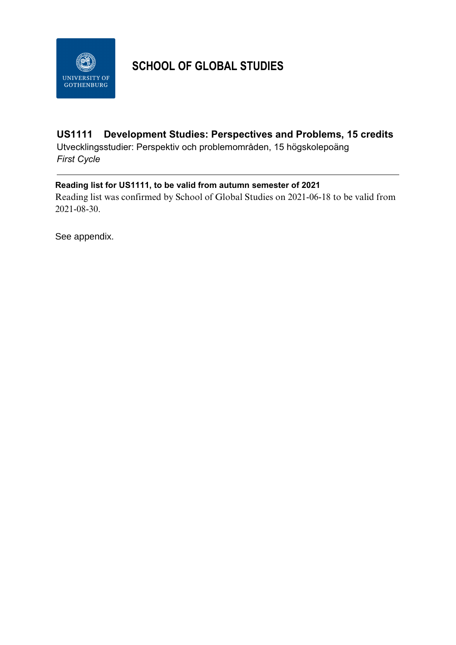

# **SCHOOL OF GLOBAL STUDIES**

### **US1111 Development Studies: Perspectives and Problems, 15 credits**

Utvecklingsstudier: Perspektiv och problemområden, 15 högskolepoäng *First Cycle*

### **Reading list for US1111, to be valid from autumn semester of 2021**

Reading list was confirmed by School of Global Studies on 2021-06-18 to be valid from 2021-08-30.

See appendix.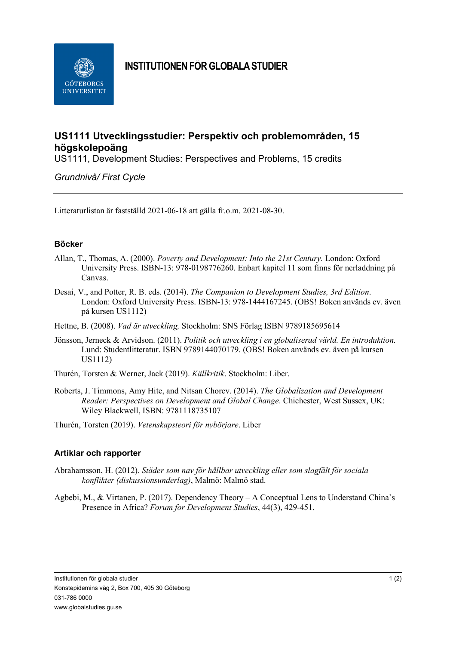

# **INSTITUTIONEN FÖR GLOBALA STUDIER**

## **US1111 Utvecklingsstudier: Perspektiv och problemområden, 15 högskolepoäng**

US1111, Development Studies: Perspectives and Problems, 15 credits

*Grundnivå/ First Cycle*

Litteraturlistan är fastställd 2021-06-18 att gälla fr.o.m. 2021-08-30.

#### **Böcker**

- Allan, T., Thomas, A. (2000). *Poverty and Development: Into the 21st Century.* London: Oxford University Press. ISBN-13: 978-0198776260. Enbart kapitel 11 som finns för nerladdning på Canvas.
- Desai, V., and Potter, R. B. eds. (2014). *The Companion to Development Studies, 3rd Edition*. London: Oxford University Press. ISBN-13: 978-1444167245. (OBS! Boken används ev. även på kursen US1112)
- Hettne, B. (2008). *Vad är utveckling,* Stockholm: SNS Förlag ISBN 9789185695614
- Jönsson, Jerneck & Arvidson. (2011). *Politik och utveckling i en globaliserad värld. En introduktion.* Lund: Studentlitteratur. ISBN 9789144070179. (OBS! Boken används ev. även på kursen US1112)
- Thurén, Torsten & Werner, Jack (2019). *Källkritik*. Stockholm: Liber.
- Roberts, J. Timmons, Amy Hite, and Nitsan Chorev. (2014). *The Globalization and Development Reader: Perspectives on Development and Global Change*. Chichester, West Sussex, UK: Wiley Blackwell, ISBN: 9781118735107
- Thurén, Torsten (2019). *Vetenskapsteori för nybörjare*. Liber

#### **Artiklar och rapporter**

- Abrahamsson, H. (2012). *Städer som nav för hållbar utveckling eller som slagfält för sociala konflikter (diskussionsunderlag)*, Malmö: Malmö stad.
- Agbebi, M., & Virtanen, P. (2017). Dependency Theory A Conceptual Lens to Understand China's Presence in Africa? *Forum for Development Studies*, 44(3), 429-451.